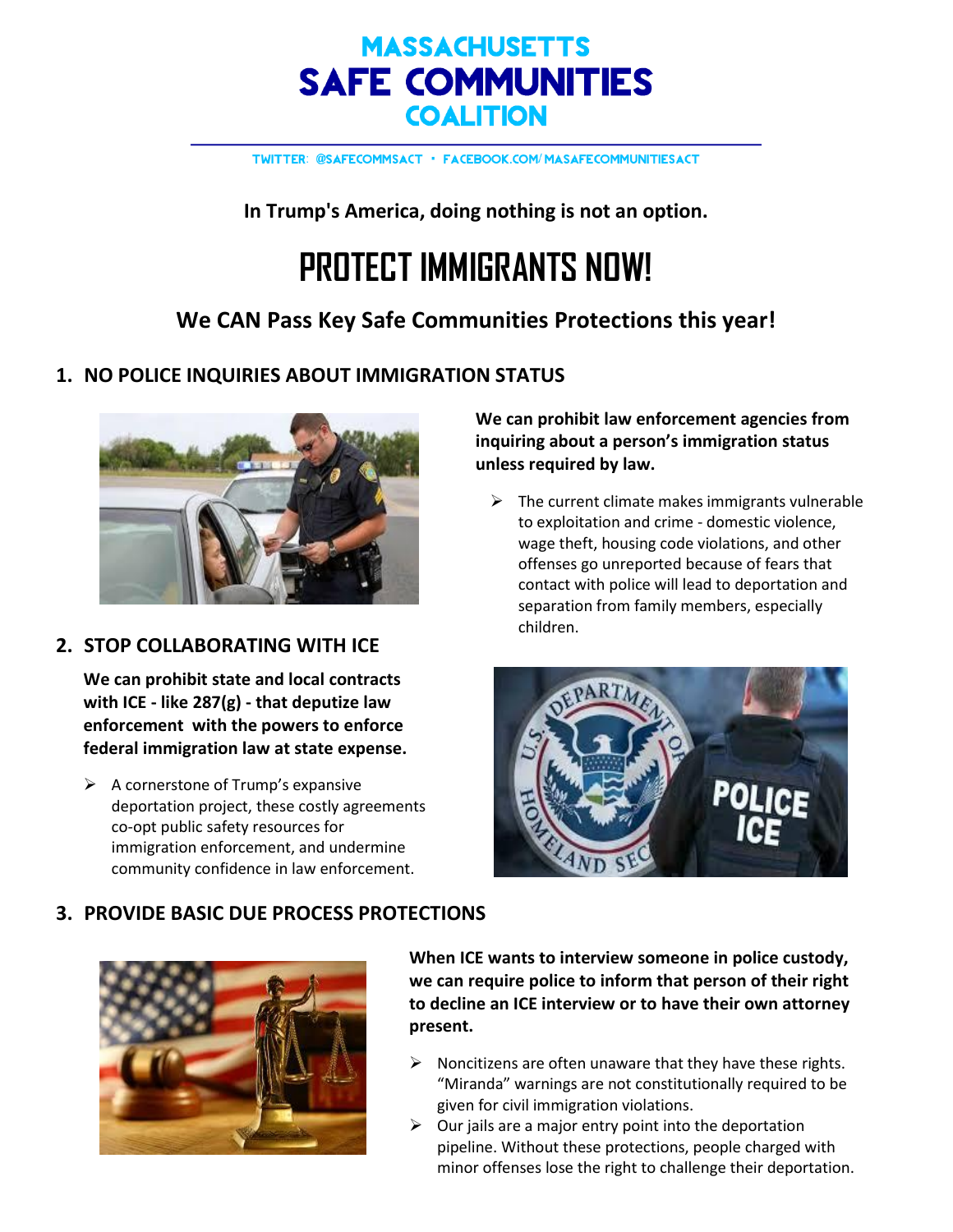# **MASSACHUSETTS SAFE COMMUNITIES COALITION**

TWITTER: @SAFECOMMSACT · FACEBOOK.COM/MASAFECOMMUNITIESACT

**In Trump's America, doing nothing is not an option.**

# **PROTECT IMMIGRANTS NOW!**

## **We CAN Pass Key Safe Communities Protections this year!**

## **1. NO POLICE INQUIRIES ABOUT IMMIGRATION STATUS**



### **2. STOP COLLABORATING WITH ICE**

**We can prohibit state and local contracts with ICE - like 287(g) - that deputize law enforcement with the powers to enforce federal immigration law at state expense.** 

 $\triangleright$  A cornerstone of Trump's expansive deportation project, these costly agreements co-opt public safety resources for immigration enforcement, and undermine community confidence in law enforcement.

**We can prohibit law enforcement agencies from inquiring about a person's immigration status unless required by law.**

 $\triangleright$  The current climate makes immigrants vulnerable to exploitation and crime - domestic violence, wage theft, housing code violations, and other offenses go unreported because of fears that contact with police will lead to deportation and separation from family members, especially children.



#### **3. PROVIDE BASIC DUE PROCESS PROTECTIONS**



**When ICE wants to interview someone in police custody, we can require police to inform that person of their right to decline an ICE interview or to have their own attorney present.**

- $\triangleright$  Noncitizens are often unaware that they have these rights. "Miranda" warnings are not constitutionally required to be given for civil immigration violations.
- $\triangleright$  Our jails are a major entry point into the deportation pipeline. Without these protections, people charged with minor offenses lose the right to challenge their deportation.